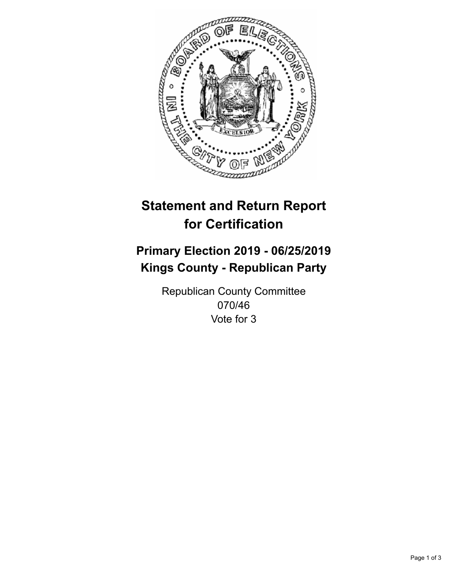

## **Statement and Return Report for Certification**

## **Primary Election 2019 - 06/25/2019 Kings County - Republican Party**

Republican County Committee 070/46 Vote for 3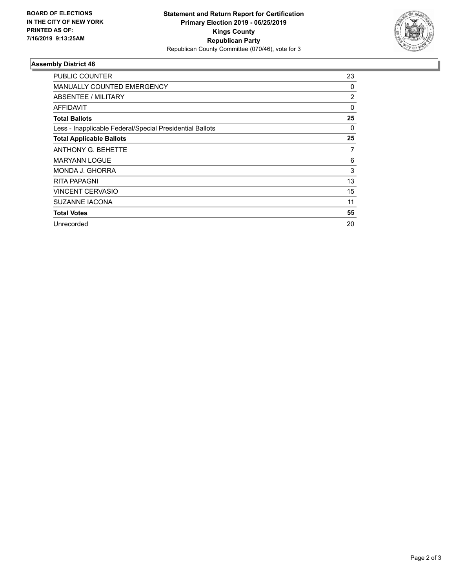

## **Assembly District 46**

| PUBLIC COUNTER                                           | 23 |
|----------------------------------------------------------|----|
| <b>MANUALLY COUNTED EMERGENCY</b>                        | 0  |
| ABSENTEE / MILITARY                                      | 2  |
| AFFIDAVIT                                                | 0  |
| <b>Total Ballots</b>                                     | 25 |
| Less - Inapplicable Federal/Special Presidential Ballots | 0  |
| <b>Total Applicable Ballots</b>                          | 25 |
| <b>ANTHONY G. BEHETTE</b>                                | 7  |
| <b>MARYANN LOGUE</b>                                     | 6  |
| <b>MONDA J. GHORRA</b>                                   | 3  |
| <b>RITA PAPAGNI</b>                                      | 13 |
| <b>VINCENT CERVASIO</b>                                  | 15 |
| <b>SUZANNE IACONA</b>                                    | 11 |
| <b>Total Votes</b>                                       | 55 |
| Unrecorded                                               | 20 |